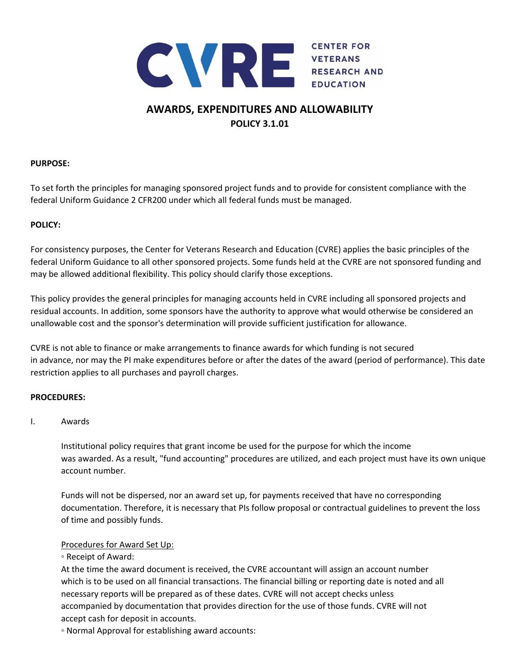

# **AWARDS, EXPENDITURES AND ALLOWABILITY POLICY 3.1.01**

### **PURPOSE:**

To set forth the principles for managing sponsored project funds and to provide for consistent compliance with the federal Uniform Guidance 2 CFR200 under which all federal funds must be managed.

## **POLICY:**

For consistency purposes, the Center for Veterans Research and Education (CVRE) applies the basic principles of the federal Uniform Guidance to all other sponsored projects. Some funds held at the CVRE are not sponsored funding and may be allowed additional flexibility. This policy should clarify those exceptions.

This policy provides the general principles for managing accounts held in CVRE including all sponsored projects and residual accounts. In addition, some sponsors have the authority to approve what would otherwise be considered an unallowable cost and the sponsor's determination will provide sufficient justification for allowance.

CVRE is not able to finance or make arrangements to finance awards for which funding is not secured in advance, nor may the PI make expenditures before or after the dates of the award (period of performance). This date restriction applies to all purchases and payroll charges.

### **PROCEDURES:**

### I. Awards

Institutional policy requires that grant income be used for the purpose for which the income was awarded. As a result, "fund accounting" procedures are utilized, and each project must have its own unique account number.

Funds will not be dispersed, nor an award set up, for payments received that have no corresponding documentation. Therefore, it is necessary that PIs follow proposal or contractual guidelines to prevent the loss of time and possibly funds.

### Procedures for Award Set Up:

### ◦ Receipt of Award:

At the time the award document is received, the CVRE accountant will assign an account number which is to be used on all financial transactions. The financial billing or reporting date is noted and all necessary reports will be prepared as of these dates. CVRE will not accept checks unless accompanied by documentation that provides direction for the use of those funds. CVRE will not accept cash for deposit in accounts.

◦ Normal Approval for establishing award accounts: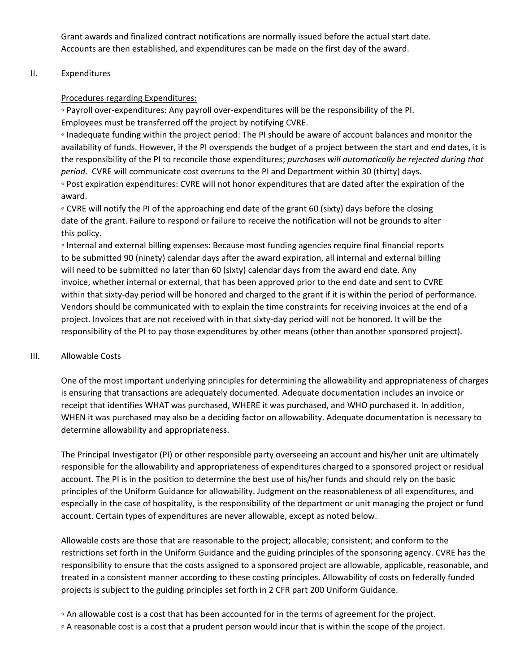Grant awards and finalized contract notifications are normally issued before the actual start date. Accounts are then established, and expenditures can be made on the first day of the award.

### II. Expenditures

# Procedures regarding Expenditures:

◦ Payroll over‐expenditures: Any payroll over‐expenditures will be the responsibility of the PI. Employees must be transferred off the project by notifying CVRE.

◦ Inadequate funding within the project period: The PI should be aware of account balances and monitor the availability of funds. However, if the PI overspends the budget of a project between the start and end dates, it is the responsibility of the PI to reconcile those expenditures; *purchases will automatically be rejected during that period*. CVRE will communicate cost overruns to the PI and Department within 30 (thirty) days.

◦ Post expiration expenditures: CVRE will not honor expenditures that are dated after the expiration of the award.

◦ CVRE will notify the PI of the approaching end date of the grant 60 (sixty) days before the closing date of the grant. Failure to respond or failure to receive the notification will not be grounds to alter this policy.

◦ Internal and external billing expenses: Because most funding agencies require final financial reports to be submitted 90 (ninety) calendar days after the award expiration, all internal and external billing will need to be submitted no later than 60 (sixty) calendar days from the award end date. Any invoice, whether internal or external, that has been approved prior to the end date and sent to CVRE within that sixty-day period will be honored and charged to the grant if it is within the period of performance. Vendors should be communicated with to explain the time constraints for receiving invoices at the end of a project. Invoices that are not received with in that sixty-day period will not be honored. It will be the responsibility of the PI to pay those expenditures by other means (other than another sponsored project).

### III. Allowable Costs

One of the most important underlying principles for determining the allowability and appropriateness of charges is ensuring that transactions are adequately documented. Adequate documentation includes an invoice or receipt that identifies WHAT was purchased, WHERE it was purchased, and WHO purchased it. In addition, WHEN it was purchased may also be a deciding factor on allowability. Adequate documentation is necessary to determine allowability and appropriateness.

The Principal Investigator (PI) or other responsible party overseeing an account and his/her unit are ultimately responsible for the allowability and appropriateness of expenditures charged to a sponsored project or residual account. The PI is in the position to determine the best use of his/her funds and should rely on the basic principles of the Uniform Guidance for allowability. Judgment on the reasonableness of all expenditures, and especially in the case of hospitality, is the responsibility of the department or unit managing the project or fund account. Certain types of expenditures are never allowable, except as noted below.

Allowable costs are those that are reasonable to the project; allocable; consistent; and conform to the restrictions set forth in the Uniform Guidance and the guiding principles of the sponsoring agency. CVRE has the responsibility to ensure that the costs assigned to a sponsored project are allowable, applicable, reasonable, and treated in a consistent manner according to these costing principles. Allowability of costs on federally funded projects is subject to the guiding principles set forth in 2 CFR part 200 Uniform Guidance.

- An allowable cost is a cost that has been accounted for in the terms of agreement for the project.
- A reasonable cost is a cost that a prudent person would incur that is within the scope of the project.